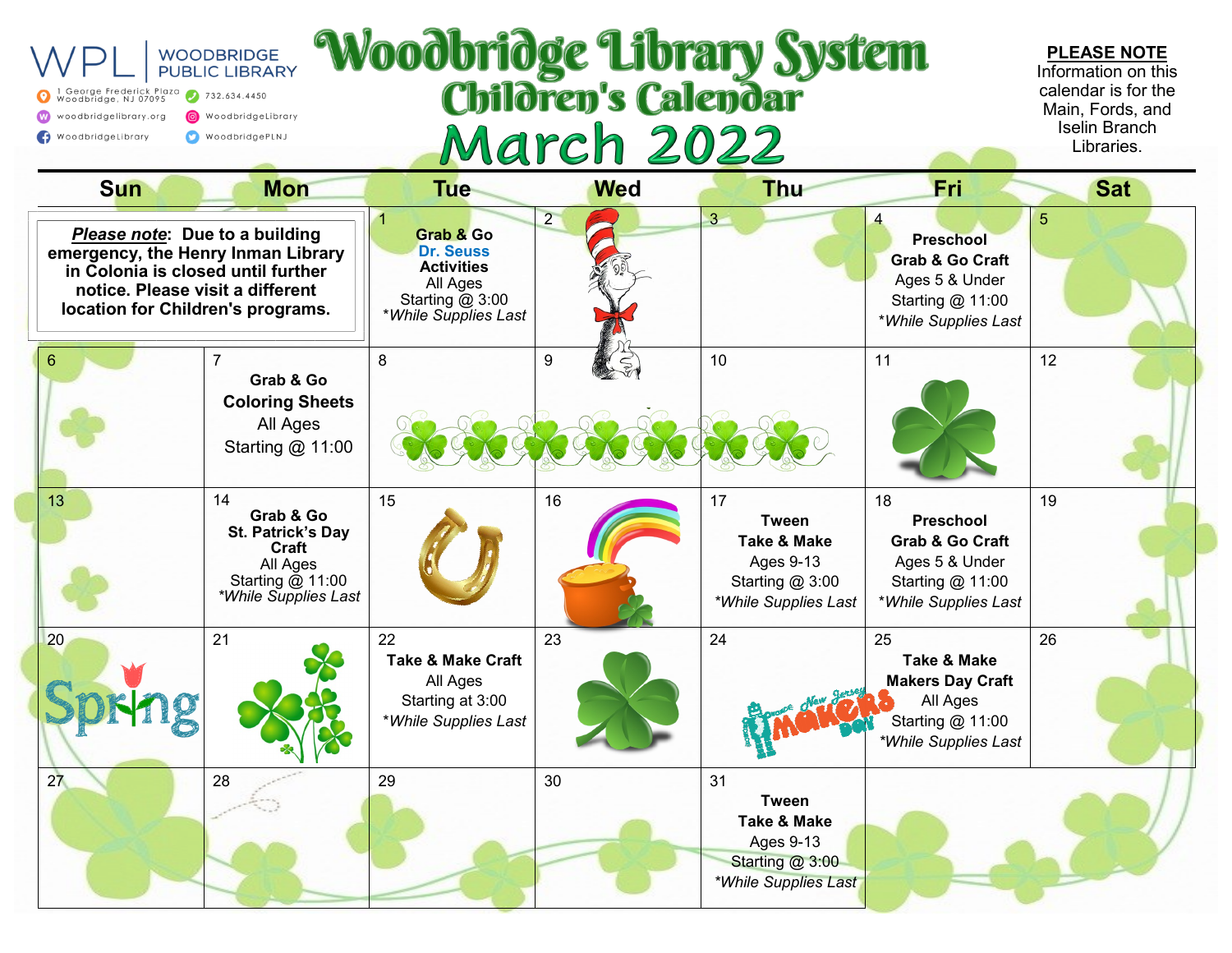| Woodbridge Library System<br><b>WOODBRIDGE</b><br><b>PUBLIC LIBRARY</b><br>l George Frederick Plaza<br>Woodbridge, NJ 07095<br>732.634.4450<br>woodbridgelibrary.org<br>WoodbridgeLibrary<br><b>March 2022</b><br>WoodbridgeLibrary<br>WoodbridgePLNJ |                                                                                                                                                                                     |                                                                                                            |                |                                                                                                             |                                                                                                                    | <b>PLEASE NOTE</b><br>Information on this<br>calendar is for the<br>Main, Fords, and<br><b>Iselin Branch</b><br>Libraries. |
|-------------------------------------------------------------------------------------------------------------------------------------------------------------------------------------------------------------------------------------------------------|-------------------------------------------------------------------------------------------------------------------------------------------------------------------------------------|------------------------------------------------------------------------------------------------------------|----------------|-------------------------------------------------------------------------------------------------------------|--------------------------------------------------------------------------------------------------------------------|----------------------------------------------------------------------------------------------------------------------------|
| <b>Sun</b>                                                                                                                                                                                                                                            | <b>Mon</b>                                                                                                                                                                          | <b>Tue</b>                                                                                                 | <b>Wed</b>     | <b>Thu</b>                                                                                                  | Fri                                                                                                                | <b>Sat</b>                                                                                                                 |
|                                                                                                                                                                                                                                                       | Please note: Due to a building<br>emergency, the Henry Inman Library<br>in Colonia is closed until further<br>notice. Please visit a different<br>location for Children's programs. | Grab & Go<br><b>Dr. Seuss</b><br><b>Activities</b><br>All Ages<br>Starting $@3:00$<br>*While Supplies Last | $\overline{2}$ | $3 -$                                                                                                       | <b>Preschool</b><br><b>Grab &amp; Go Craft</b><br>Ages 5 & Under<br>Starting @ 11:00<br>*While Supplies Last       | 5                                                                                                                          |
|                                                                                                                                                                                                                                                       | Grab & Go<br><b>Coloring Sheets</b><br>All Ages<br>Starting @ 11:00                                                                                                                 | 8                                                                                                          | 9              | 10                                                                                                          | 11                                                                                                                 | 12                                                                                                                         |
| 13                                                                                                                                                                                                                                                    | 14<br>Grab & Go<br>St. Patrick's Day<br>Craft<br>All Ages<br>Starting @ 11:00<br>*While Supplies Last                                                                               | 15                                                                                                         | 16             | 17<br><b>Tween</b><br><b>Take &amp; Make</b><br>Ages 9-13<br>Starting $@3:00$<br>*While Supplies Last       | 18<br><b>Preschool</b><br><b>Grab &amp; Go Craft</b><br>Ages 5 & Under<br>Starting @ 11:00<br>*While Supplies Last | 19                                                                                                                         |
| 20                                                                                                                                                                                                                                                    | 21                                                                                                                                                                                  | 22<br><b>Take &amp; Make Craft</b><br>All Ages<br>Starting at 3:00<br>*While Supplies Last                 | 23             | 24<br><b>ETWOLF POR</b>                                                                                     | 25<br><b>Take &amp; Make</b><br><b>Makers Day Craft</b><br>All Ages<br>Starting @ 11:00<br>*While Supplies Last    | 26                                                                                                                         |
| 27                                                                                                                                                                                                                                                    | 28                                                                                                                                                                                  | 29                                                                                                         | 30             | 31<br><b>Tween</b><br><b>Take &amp; Make</b><br><b>Ages 9-13</b><br>Starting @ 3:00<br>*While Supplies Last |                                                                                                                    |                                                                                                                            |